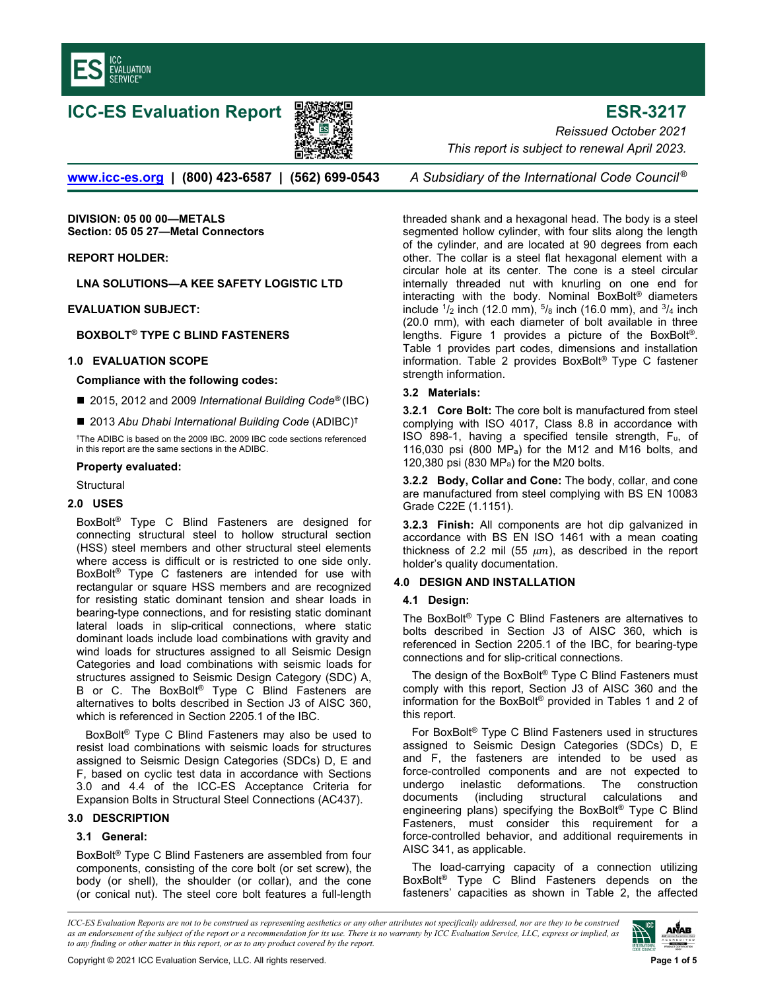

# **ICC-ES Evaluation Report ESR-3217**



*Reissued October 2021 This report is subject to renewal April 2023.* 

**[www.icc-es.org](http://www.icc-es.org/) | (800) 423-6587 | (562) 699-0543** *A Subsidiary of the International Code Council ®*

**DIVISION: 05 00 00—METALS Section: 05 05 27—Metal Connectors** 

**REPORT HOLDER:** 

**LNA SOLUTIONS—A KEE SAFETY LOGISTIC LTD** 

**EVALUATION SUBJECT:** 

**BOXBOLT® TYPE C BLIND FASTENERS** 

#### **[1.0 EVALUATION SCOPE](mailto:jclements@lnasolutions.com)**

**Compliance with the following codes:**

■ 2015, 2012 and 2009 *International Building Code<sup>®</sup>* (IBC)

■ 2013 Abu Dhabi International Building Code (ADIBC)<sup>†</sup>

†The ADIBC is based on the 2009 IBC. 2009 IBC code sections referenced in this report are the same sections in the ADIBC.

#### **Property evaluated:**

**Structural** 

# **2.0 USES**

BoxBolt® Type C Blind Fasteners are designed for connecting structural steel to hollow structural section (HSS) steel members and other structural steel elements where access is difficult or is restricted to one side only. BoxBolt® Type C fasteners are intended for use with rectangular or square HSS members and are recognized for resisting static dominant tension and shear loads in bearing-type connections, and for resisting static dominant lateral loads in slip-critical connections, where static dominant loads include load combinations with gravity and wind loads for structures assigned to all Seismic Design Categories and load combinations with seismic loads for structures assigned to Seismic Design Category (SDC) A, B or C. The BoxBolt® Type C Blind Fasteners are alternatives to bolts described in Section J3 of AISC 360, which is referenced in Section 2205.1 of the IBC.

BoxBolt® Type C Blind Fasteners may also be used to resist load combinations with seismic loads for structures assigned to Seismic Design Categories (SDCs) D, E and F, based on cyclic test data in accordance with Sections 3.0 and 4.4 of the ICC-ES Acceptance Criteria for Expansion Bolts in Structural Steel Connections (AC437).

#### **3.0 DESCRIPTION**

#### **3.1 General:**

BoxBolt® Type C Blind Fasteners are assembled from four components, consisting of the core bolt (or set screw), the body (or shell), the shoulder (or collar), and the cone (or conical nut). The steel core bolt features a full-length

threaded shank and a hexagonal head. The body is a steel segmented hollow cylinder, with four slits along the length of the cylinder, and are located at 90 degrees from each other. The collar is a steel flat hexagonal element with a circular hole at its center. The cone is a steel circular internally threaded nut with knurling on one end for interacting with the body. Nominal BoxBolt® diameters include  $\frac{1}{2}$  inch (12.0 mm),  $\frac{5}{8}$  inch (16.0 mm), and  $\frac{3}{4}$  inch (20.0 mm), with each diameter of bolt available in three lengths. Figure 1 provides a picture of the BoxBolt®. Table 1 provides part codes, dimensions and installation information. Table 2 provides BoxBolt® Type C fastener strength information.

#### **3.2 Materials:**

**3.2.1 Core Bolt:** The core bolt is manufactured from steel complying with ISO 4017, Class 8.8 in accordance with ISO 898-1, having a specified tensile strength, Fu, of 116,030 psi (800  $MP_a$ ) for the M12 and M16 bolts, and 120,380 psi (830 MPa) for the M20 bolts.

**3.2.2 Body, Collar and Cone:** The body, collar, and cone are manufactured from steel complying with BS EN 10083 Grade C22E (1.1151).

**3.2.3 Finish:** All components are hot dip galvanized in accordance with BS EN ISO 1461 with a mean coating thickness of 2.2 mil (55  $\mu$ m), as described in the report holder's quality documentation.

#### **4.0 DESIGN AND INSTALLATION**

#### **4.1 Design:**

The BoxBolt® Type C Blind Fasteners are alternatives to bolts described in Section J3 of AISC 360, which is referenced in Section 2205.1 of the IBC, for bearing-type connections and for slip-critical connections.

The design of the BoxBolt® Type C Blind Fasteners must comply with this report, Section J3 of AISC 360 and the information for the BoxBolt® provided in Tables 1 and 2 of this report.

For BoxBolt® Type C Blind Fasteners used in structures assigned to Seismic Design Categories (SDCs) D, E and F, the fasteners are intended to be used as force-controlled components and are not expected to undergo inelastic deformations. The construction documents (including structural calculations and engineering plans) specifying the BoxBolt® Type C Blind Fasteners, must consider this requirement for a force-controlled behavior, and additional requirements in AISC 341, as applicable.

The load-carrying capacity of a connection utilizing BoxBolt® Type C Blind Fasteners depends on the fasteners' capacities as shown in Table 2, the affected

*ICC-ES Evaluation Reports are not to be construed as representing aesthetics or any other attributes not specifically addressed, nor are they to be construed as an endorsement of the subject of the report or a recommendation for its use. There is no warranty by ICC Evaluation Service, LLC, express or implied, as to any finding or other matter in this report, or as to any product covered by the report.*

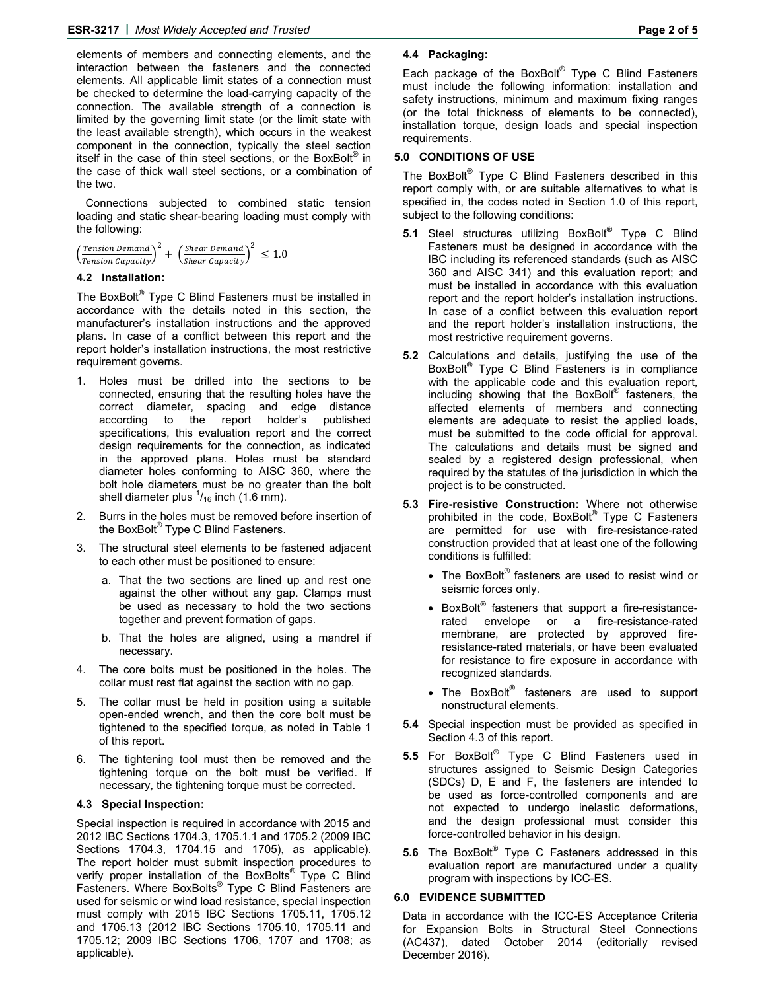elements of members and connecting elements, and the interaction between the fasteners and the connected elements. All applicable limit states of a connection must be checked to determine the load-carrying capacity of the connection. The available strength of a connection is limited by the governing limit state (or the limit state with the least available strength), which occurs in the weakest component in the connection, typically the steel section itself in the case of thin steel sections, or the BoxBolt® in the case of thick wall steel sections, or a combination of the two.

Connections subjected to combined static tension loading and static shear-bearing loading must comply with the following:

$$
\left(\frac{Tension\,Domain}{Tension\,Capacity}\right)^2 + \left(\frac{Shear\,Domain}{Shear\,Capacity}\right)^2 \le 1.0
$$

## **4.2 Installation:**

The BoxBolt® Type C Blind Fasteners must be installed in accordance with the details noted in this section, the manufacturer's installation instructions and the approved plans. In case of a conflict between this report and the report holder's installation instructions, the most restrictive requirement governs.

- 1. Holes must be drilled into the sections to be connected, ensuring that the resulting holes have the correct diameter, spacing and edge distance according to the report holder's published specifications, this evaluation report and the correct design requirements for the connection, as indicated in the approved plans. Holes must be standard diameter holes conforming to AISC 360, where the bolt hole diameters must be no greater than the bolt shell diameter plus  $\frac{1}{16}$  inch (1.6 mm).
- 2. Burrs in the holes must be removed before insertion of the BoxBolt® Type C Blind Fasteners.
- The structural steel elements to be fastened adjacent to each other must be positioned to ensure:
	- a. That the two sections are lined up and rest one against the other without any gap. Clamps must be used as necessary to hold the two sections together and prevent formation of gaps.
	- b. That the holes are aligned, using a mandrel if necessary.
- 4. The core bolts must be positioned in the holes. The collar must rest flat against the section with no gap.
- 5. The collar must be held in position using a suitable open-ended wrench, and then the core bolt must be tightened to the specified torque, as noted in Table 1 of this report.
- 6. The tightening tool must then be removed and the tightening torque on the bolt must be verified. If necessary, the tightening torque must be corrected.

# **4.3 Special Inspection:**

Special inspection is required in accordance with 2015 and 2012 IBC Sections 1704.3, 1705.1.1 and 1705.2 (2009 IBC Sections 1704.3, 1704.15 and 1705), as applicable). The report holder must submit inspection procedures to verify proper installation of the BoxBolts<sup>®</sup> Type C Blind Fasteners. Where BoxBolts<sup>®</sup> Type C Blind Fasteners are used for seismic or wind load resistance, special inspection must comply with 2015 IBC Sections 1705.11, 1705.12 and 1705.13 (2012 IBC Sections 1705.10, 1705.11 and 1705.12; 2009 IBC Sections 1706, 1707 and 1708; as applicable).

# **4.4 Packaging:**

Each package of the BoxBolt® Type C Blind Fasteners must include the following information: installation and safety instructions, minimum and maximum fixing ranges (or the total thickness of elements to be connected), installation torque, design loads and special inspection requirements.

# **5.0 CONDITIONS OF USE**

The BoxBolt<sup>®</sup> Type C Blind Fasteners described in this report comply with, or are suitable alternatives to what is specified in, the codes noted in Section 1.0 of this report, subject to the following conditions:

- **5.1** Steel structures utilizing BoxBolt<sup>®</sup> Type C Blind Fasteners must be designed in accordance with the IBC including its referenced standards (such as AISC 360 and AISC 341) and this evaluation report; and must be installed in accordance with this evaluation report and the report holder's installation instructions. In case of a conflict between this evaluation report and the report holder's installation instructions, the most restrictive requirement governs.
- **5.2** Calculations and details, justifying the use of the BoxBolt® Type C Blind Fasteners is in compliance with the applicable code and this evaluation report, including showing that the BoxBolt® fasteners, the affected elements of members and connecting elements are adequate to resist the applied loads, must be submitted to the code official for approval. The calculations and details must be signed and sealed by a registered design professional, when required by the statutes of the jurisdiction in which the project is to be constructed.
- **5.3 Fire-resistive Construction:** Where not otherwise prohibited in the code, BoxBolt® Type C Fasteners are permitted for use with fire-resistance-rated construction provided that at least one of the following conditions is fulfilled:
	- The BoxBolt® fasteners are used to resist wind or seismic forces only.
	- $\bullet$  BoxBolt® fasteners that support a fire-resistancerated envelope or a fire-resistance-rated membrane, are protected by approved fireresistance-rated materials, or have been evaluated for resistance to fire exposure in accordance with recognized standards.
	- The BoxBolt® fasteners are used to support nonstructural elements.
- **5.4** Special inspection must be provided as specified in Section 4.3 of this report.
- **5.5** For BoxBolt® Type C Blind Fasteners used in structures assigned to Seismic Design Categories (SDCs) D, E and F, the fasteners are intended to be used as force-controlled components and are not expected to undergo inelastic deformations, and the design professional must consider this force-controlled behavior in his design.
- **5.6** The BoxBolt® Type C Fasteners addressed in this evaluation report are manufactured under a quality program with inspections by ICC-ES.

#### **6.0 EVIDENCE SUBMITTED**

Data in accordance with the ICC-ES Acceptance Criteria for Expansion Bolts in Structural Steel Connections (AC437), dated October 2014 (editorially revised December 2016).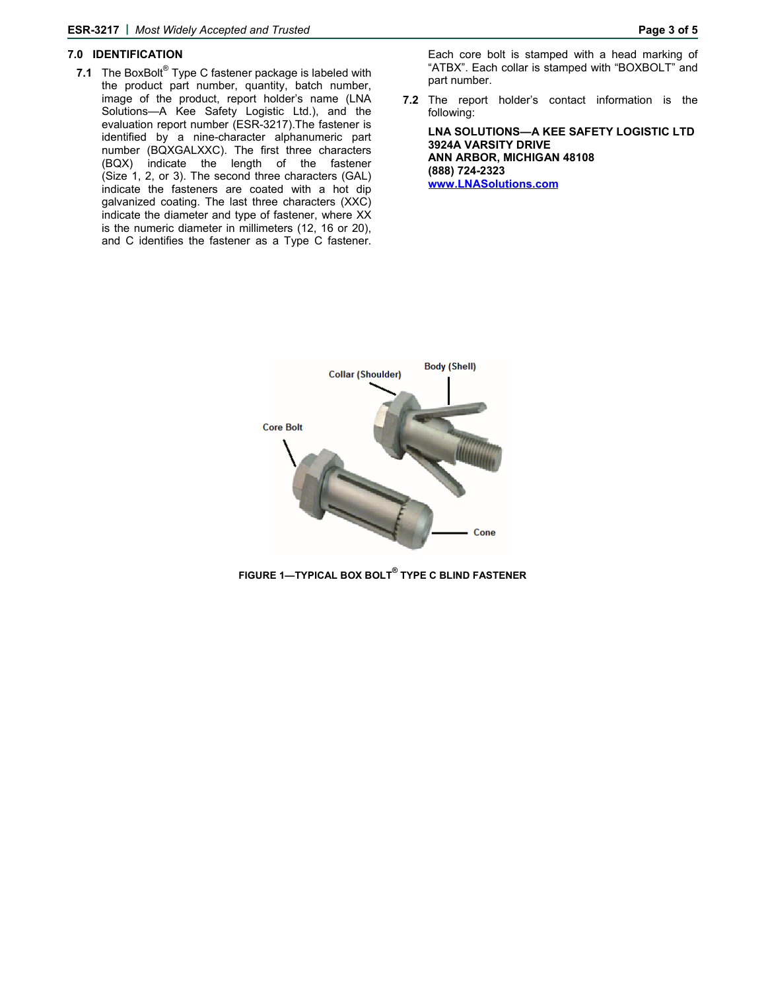#### **7.0 IDENTIFICATION**

**7.1** The BoxBolt® Type C fastener package is labeled with the product part number, quantity, batch number, image of the product, report holder's name (LNA Solutions—A Kee Safety Logistic Ltd.), and the evaluation report number (ESR-3217).The fastener is identified by a nine-character alphanumeric part number (BQXGALXXC). The first three characters (BQX) indicate the length of the fastener (Size 1, 2, or 3). The second three characters (GAL) indicate the fasteners are coated with a hot dip galvanized coating. The last three characters (XXC) indicate the diameter and type of fastener, where XX is the numeric diameter in millimeters (12, 16 or 20), and C identifies the fastener as a Type C fastener.

Each core bolt is stamped with a head marking of "ATBX". Each collar is stamped with "BOXBOLT" and part number.

**7.2** The report holder's contact information is the following:

**LNA SOLUTIONS—A KEE SAFETY LOGISTIC LTD 3924A VARSITY DRIVE ANN ARBOR, MICHIGAN 48108 (888) 724-2323 www.LNASolutions.com** 



**FIGURE 1—TYPICAL BOX BOLT® TYPE C BLIND FASTENER**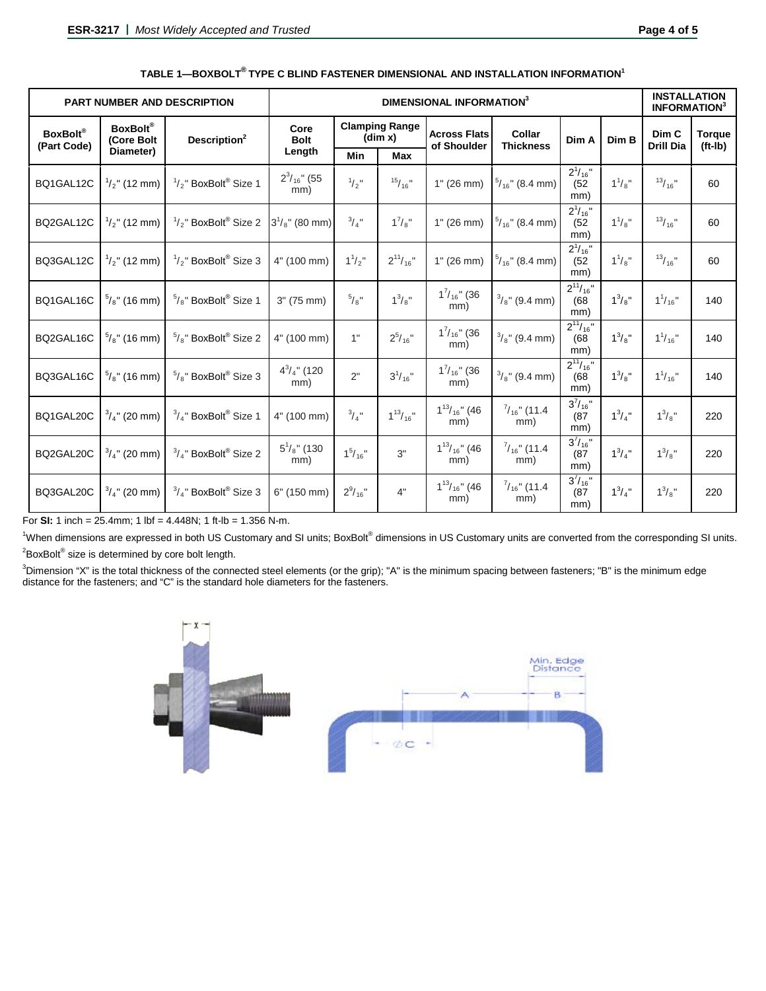| <b>PART NUMBER AND DESCRIPTION</b> | DIMENSIONAL INFORMATION <sup>3</sup>       |                                             |                           |                                  |                  |                                    |                               |                                 | <b>INSTALLATION</b><br><b>INFORMATION</b> <sup>3</sup> |                           |                            |
|------------------------------------|--------------------------------------------|---------------------------------------------|---------------------------|----------------------------------|------------------|------------------------------------|-------------------------------|---------------------------------|--------------------------------------------------------|---------------------------|----------------------------|
| <b>BoxBolt®</b><br>(Part Code)     | <b>BoxBolt®</b><br>(Core Bolt<br>Diameter) | Description <sup>2</sup>                    | Core<br><b>Bolt</b>       | <b>Clamping Range</b><br>(dim x) |                  | <b>Across Flats</b><br>of Shoulder | Collar<br><b>Thickness</b>    | Dim A                           | Dim B                                                  | Dim C<br><b>Drill Dia</b> | <b>Torque</b><br>$(ft-lb)$ |
|                                    |                                            |                                             | Length                    | <b>Min</b>                       | Max              |                                    |                               |                                 |                                                        |                           |                            |
| BQ1GAL12C                          | $\frac{1}{2}$ " (12 mm)                    | $\frac{1}{2}$ " BoxBolt® Size 1             | $2^3/16$ " (55<br>mm)     | $\frac{1}{2}$ "                  | $15/16$ "        | 1" (26 mm)                         | $\frac{5}{16}$ " (8.4 mm)     | $2^1/16"$<br>(52)<br>mm)        | $1^{1}/_{8}$ "                                         | $13/16$ "                 | 60                         |
| BQ2GAL12C                          | $\frac{1}{2}$ " (12 mm)                    | $\frac{1}{2}$ " BoxBolt <sup>®</sup> Size 2 | $3^{1}/_{8}$ " (80 mm)    | $^{3}/_{4}$ "                    | $1^7/s''$        | 1" (26 mm)                         | $\frac{5}{16}$ " (8.4 mm)     | $2^1/16"$<br>(52)<br>mm)        | $1^{1}/_{8}$ "                                         | $13/16$ "                 | 60                         |
| BQ3GAL12C                          | $\frac{1}{2}$ " (12 mm)                    | $\frac{1}{2}$ " BoxBolt® Size 3             | 4" (100 mm)               | $1^{1}/2$ "                      | $2^{11}/_{16}$ " | $1"$ (26 mm)                       | $\frac{5}{16}$ " (8.4 mm)     | $2^1/16$ "<br>(52)<br>mm)       | $1^{1}/_{8}$ "                                         | $13/16$ "                 | 60                         |
| BQ1GAL16C                          | $\frac{5}{8}$ " (16 mm)                    | $5/8$ " BoxBolt® Size 1                     | 3" (75 mm)                | $^{5}/\,$ "                      | $1^3/s''$        | $1^{7}/_{16}$ " (36<br>mm)         | $\frac{3}{8}$ " (9.4 mm)      | $2^{11}/_{16}$ "<br>(68)<br>mm) | $1^3/s''$                                              | $1^{1}/_{16}$ "           | 140                        |
| BQ2GAL16C                          | $\frac{5}{8}$ " (16 mm)                    | $\frac{5}{8}$ " BoxBolt® Size 2             | 4" (100 mm)               | 1"                               | $2^{5}/_{16}$ "  | $1^{7}/_{16}$ " (36<br>mm)         | $\frac{3}{8}$ " (9.4 mm)      | $2^{11}/_{16}$ "<br>(68)<br>mm) | $1^3/s''$                                              | $1^{1}/_{16}$ "           | 140                        |
| BQ3GAL16C                          | $\frac{5}{8}$ " (16 mm)                    | $5/8$ " BoxBolt® Size 3                     | $4^3/4$ " (120<br>mm)     | 2"                               | $3^{1}/_{16}$ "  | $1^{7}/_{16}$ " (36<br>mm)         | $\frac{3}{8}$ " (9.4 mm)      | $2^{11}/16$ "<br>(68)<br>mm)    | $1^3/s''$                                              | $1^{1}/_{16}$ "           | 140                        |
| BQ1GAL20C                          | $\frac{3}{4}$ " (20 mm)                    | $3/4$ " BoxBolt® Size 1                     | 4" (100 mm)               | $^{3}/_{4}$ "                    | $1^{13}/_{16}$ " | $1^{13}/_{16}$ " (46<br>mm)        | $\frac{7}{16}$ " (11.4<br>mm) | $3^{7}/_{16}$ "<br>(87)<br>mm)  | $1^3/4$ "                                              | $1^3/s''$                 | 220                        |
| BQ2GAL20C                          | $\frac{3}{4}$ " (20 mm)                    | $3/4$ " BoxBolt <sup>®</sup> Size 2         | $5^1$ / $8$ " (130<br>mm) | $1^5/16"$                        | 3"               | $1^{13}/_{16}$ " (46<br>mm)        | $^{7}/_{16}$ " (11.4<br>mm)   | $3^{7}/_{16}$ "<br>(87)<br>mm)  | $1^3/4"$                                               | $1^3/s''$                 | 220                        |
| BQ3GAL20C                          | $\frac{3}{4}$ " (20 mm)                    | $3/4$ " BoxBolt® Size 3                     | 6" (150 mm)               | $2^9/16$ "                       | 4"               | $1^{13}/_{16}$ " (46<br>mm)        | $\frac{7}{16}$ " (11.4<br>mm) | $3^{7}/_{16}$ "<br>(87)<br>mm)  | $1^3/4"$                                               | $1^3/s''$                 | 220                        |

For **SI:** 1 inch = 25.4mm; 1 lbf = 4.448N; 1 ft-lb = 1.356 N-m.

<sup>1</sup>When dimensions are expressed in both US Customary and SI units; BoxBolt® dimensions in US Customary units are converted from the corresponding SI units.  $2$ BoxBolt® size is determined by core bolt length.

<sup>3</sup>Dimension "X" is the total thickness of the connected steel elements (or the grip); "A" is the minimum spacing between fasteners; "B" is the minimum edge distance for the fasteners; and "C" is the standard hole diameters for the fasteners.